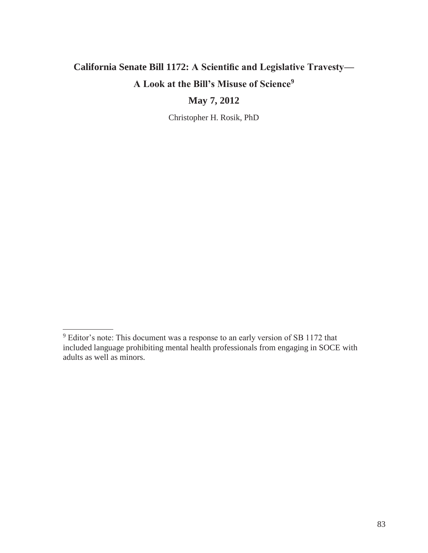# **California Senate Bill 1172: A Scientific and Legislative Travesty— A Look at the Bill's Misuse of Science<sup>9</sup>**

# **May 7, 2012**

Christopher H. Rosik, PhD

<sup>9</sup> Editor's note: This document was a response to an early version of SB 1172 that included language prohibiting mental health professionals from engaging in SOCE with adults as well as minors.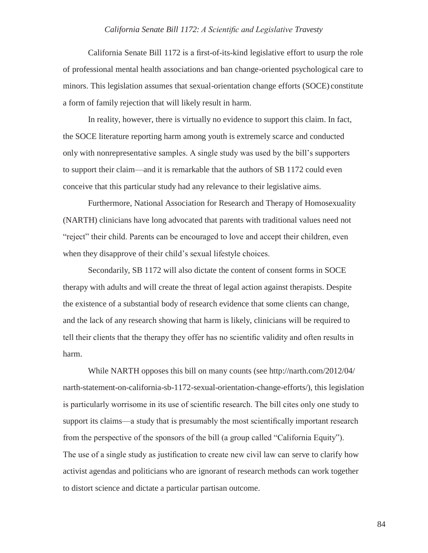California Senate Bill 1172 is a first-of-its-kind legislative effort to usurp the role of professional mental health associations and ban change-oriented psychological care to minors. This legislation assumes that sexual-orientation change efforts (SOCE) constitute a form of family rejection that will likely result in harm.

In reality, however, there is virtually no evidence to support this claim. In fact, the SOCE literature reporting harm among youth is extremely scarce and conducted only with nonrepresentative samples. A single study was used by the bill's supporters to support their claim—and it is remarkable that the authors of SB 1172 could even conceive that this particular study had any relevance to their legislative aims.

Furthermore, National Association for Research and Therapy of Homosexuality (NARTH) clinicians have long advocated that parents with traditional values need not "reject" their child. Parents can be encouraged to love and accept their children, even when they disapprove of their child's sexual lifestyle choices.

Secondarily, SB 1172 will also dictate the content of consent forms in SOCE therapy with adults and will create the threat of legal action against therapists. Despite the existence of a substantial body of research evidence that some clients can change, and the lack of any research showing that harm is likely, clinicians will be required to tell their clients that the therapy they offer has no scientific validity and often results in harm.

While NARTH opposes this bill on many counts (see<http://narth.com/2012/04/> narth-statement-on-california-sb-1172-sexual-orientation-change-efforts/), this legislation is particularly worrisome in its use of scientific research. The bill cites only one study to support its claims—a study that is presumably the most scientifically important research from the perspective of the sponsors of the bill (a group called "California Equity"). The use of a single study as justification to create new civil law can serve to clarify how activist agendas and politicians who are ignorant of research methods can work together to distort science and dictate a particular partisan outcome.

84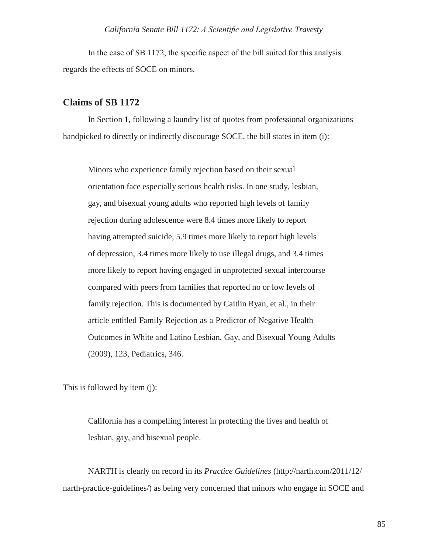In the case of SB 1172, the specific aspect of the bill suited for this analysis regards the effects of SOCE on minors.

# **Claims of SB 1172**

In Section 1, following a laundry list of quotes from professional organizations handpicked to directly or indirectly discourage SOCE, the bill states in item (i):

Minors who experience family rejection based on their sexual orientation face especially serious health risks. In one study, lesbian, gay, and bisexual young adults who reported high levels of family rejection during adolescence were 8.4 times more likely to report having attempted suicide, 5.9 times more likely to report high levels of depression, 3.4 times more likely to use illegal drugs, and 3.4 times more likely to report having engaged in unprotected sexual intercourse compared with peers from families that reported no or low levels of family rejection. This is documented by Caitlin Ryan, et al., in their article entitled Family Rejection as a Predictor of Negative Health Outcomes in White and Latino Lesbian, Gay, and Bisexual Young Adults (2009), 123, Pediatrics, 346.

This is followed by item (j):

California has a compelling interest in protecting the lives and health of lesbian, gay, and bisexual people.

NARTH is clearly on record in its *Practice Guidelines* [\(http://narth.com/2011/12/](http://narth.com/2011/12/) narth-practice-guidelines/) as being very concerned that minors who engage in SOCE and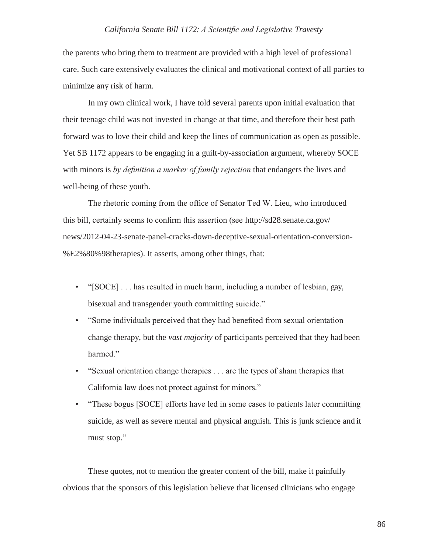the parents who bring them to treatment are provided with a high level of professional care. Such care extensively evaluates the clinical and motivational context of all parties to minimize any risk of harm.

In my own clinical work, I have told several parents upon initial evaluation that their teenage child was not invested in change at that time, and therefore their best path forward was to love their child and keep the lines of communication as open as possible. Yet SB 1172 appears to be engaging in a guilt-by-association argument, whereby SOCE with minors is *by definition a marker of family rejection* that endangers the lives and well-being of these youth.

The rhetoric coming from the office of Senator Ted W. Lieu, who introduced this bill, certainly seems to confirm this assertion (see<http://sd28.senate.ca.gov/> news/2012-04-23-senate-panel-cracks-down-deceptive-sexual-orientation-conversion- %E2%80%98therapies). It asserts, among other things, that:

- "[SOCE] . . . has resulted in much harm, including a number of lesbian, gay, bisexual and transgender youth committing suicide."
- "Some individuals perceived that they had benefited from sexual orientation change therapy, but the *vast majority* of participants perceived that they had been harmed."
- "Sexual orientation change therapies . . . are the types of sham therapies that California law does not protect against for minors."
- "These bogus [SOCE] efforts have led in some cases to patients later committing suicide, as well as severe mental and physical anguish. This is junk science and it must stop."

These quotes, not to mention the greater content of the bill, make it painfully obvious that the sponsors of this legislation believe that licensed clinicians who engage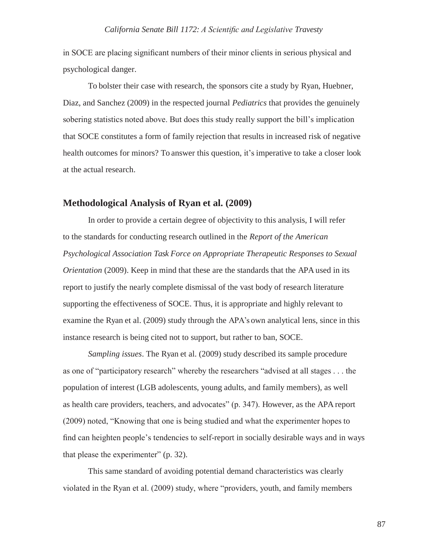in SOCE are placing significant numbers of their minor clients in serious physical and psychological danger.

To bolster their case with research, the sponsors cite a study by Ryan, Huebner, Diaz, and Sanchez (2009) in the respected journal *Pediatrics* that provides the genuinely sobering statistics noted above. But does this study really support the bill's implication that SOCE constitutes a form of family rejection that results in increased risk of negative health outcomes for minors? To answer this question, it's imperative to take a closer look at the actual research.

## **Methodological Analysis of Ryan et al. (2009)**

In order to provide a certain degree of objectivity to this analysis, I will refer to the standards for conducting research outlined in the *Report of the American Psychological Association Task Force on Appropriate Therapeutic Responses to Sexual Orientation* (2009). Keep in mind that these are the standards that the APA used in its report to justify the nearly complete dismissal of the vast body of research literature supporting the effectiveness of SOCE. Thus, it is appropriate and highly relevant to examine the Ryan et al. (2009) study through the APA's own analytical lens, since in this instance research is being cited not to support, but rather to ban, SOCE.

*Sampling issues*. The Ryan et al. (2009) study described its sample procedure as one of "participatory research" whereby the researchers "advised at all stages . . . the population of interest (LGB adolescents, young adults, and family members), as well as health care providers, teachers, and advocates" (p. 347). However, as the APA report (2009) noted, "Knowing that one is being studied and what the experimenter hopes to find can heighten people's tendencies to self-report in socially desirable ways and in ways that please the experimenter" (p. 32).

This same standard of avoiding potential demand characteristics was clearly violated in the Ryan et al. (2009) study, where "providers, youth, and family members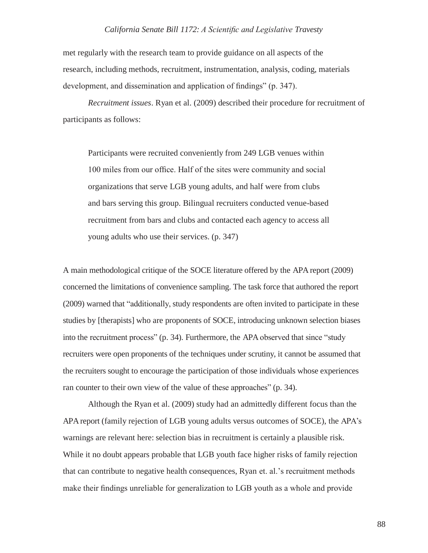met regularly with the research team to provide guidance on all aspects of the research, including methods, recruitment, instrumentation, analysis, coding, materials development, and dissemination and application of findings" (p. 347).

*Recruitment issues*. Ryan et al. (2009) described their procedure for recruitment of participants as follows:

Participants were recruited conveniently from 249 LGB venues within 100 miles from our office. Half of the sites were community and social organizations that serve LGB young adults, and half were from clubs and bars serving this group. Bilingual recruiters conducted venue-based recruitment from bars and clubs and contacted each agency to access all young adults who use their services. (p. 347)

A main methodological critique of the SOCE literature offered by the APA report (2009) concerned the limitations of convenience sampling. The task force that authored the report (2009) warned that "additionally, study respondents are often invited to participate in these studies by [therapists] who are proponents of SOCE, introducing unknown selection biases into the recruitment process" (p. 34). Furthermore, the APA observed that since "study recruiters were open proponents of the techniques under scrutiny, it cannot be assumed that the recruiters sought to encourage the participation of those individuals whose experiences ran counter to their own view of the value of these approaches" (p. 34).

Although the Ryan et al. (2009) study had an admittedly different focus than the APA report (family rejection of LGB young adults versus outcomes of SOCE), the APA's warnings are relevant here: selection bias in recruitment is certainly a plausible risk. While it no doubt appears probable that LGB youth face higher risks of family rejection that can contribute to negative health consequences, Ryan et. al.'s recruitment methods make their findings unreliable for generalization to LGB youth as a whole and provide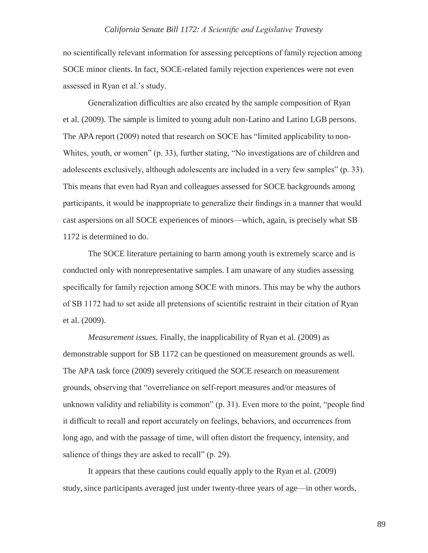no scientifically relevant information for assessing perceptions of family rejection among SOCE minor clients. In fact, SOCE-related family rejection experiences were not even assessed in Ryan et al.'s study.

Generalization difficulties are also created by the sample composition of Ryan et al. (2009). The sample is limited to young adult non-Latino and Latino LGB persons. The APA report (2009) noted that research on SOCE has "limited applicability to non-Whites, youth, or women" (p. 33), further stating, "No investigations are of children and adolescents exclusively, although adolescents are included in a very few samples" (p. 33). This means that even had Ryan and colleagues assessed for SOCE backgrounds among participants, it would be inappropriate to generalize their findings in a manner that would cast aspersions on all SOCE experiences of minors—which, again, is precisely what SB 1172 is determined to do.

The SOCE literature pertaining to harm among youth is extremely scarce and is conducted only with nonrepresentative samples. I am unaware of any studies assessing specifically for family rejection among SOCE with minors. This may be why the authors of SB 1172 had to set aside all pretensions of scientific restraint in their citation of Ryan et al. (2009).

*Measurement issues.* Finally, the inapplicability of Ryan et al. (2009) as demonstrable support for SB 1172 can be questioned on measurement grounds as well. The APA task force (2009) severely critiqued the SOCE research on measurement grounds, observing that "overreliance on self-report measures and/or measures of unknown validity and reliability is common" (p. 31). Even more to the point, "people find it difficult to recall and report accurately on feelings, behaviors, and occurrences from long ago, and with the passage of time, will often distort the frequency, intensity, and salience of things they are asked to recall" (p. 29).

It appears that these cautions could equally apply to the Ryan et al. (2009) study, since participants averaged just under twenty-three years of age—in other words,

89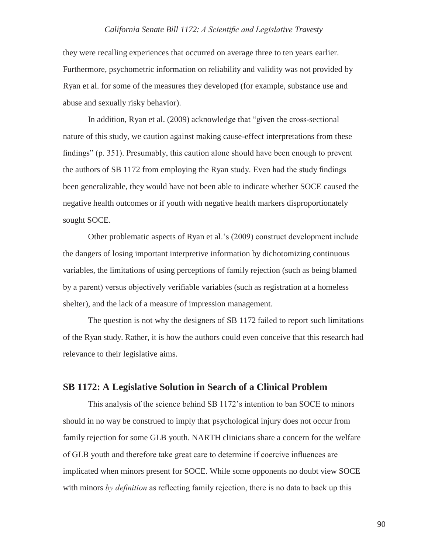they were recalling experiences that occurred on average three to ten years earlier. Furthermore, psychometric information on reliability and validity was not provided by Ryan et al. for some of the measures they developed (for example, substance use and abuse and sexually risky behavior).

In addition, Ryan et al. (2009) acknowledge that "given the cross-sectional nature of this study, we caution against making cause-effect interpretations from these findings" (p. 351). Presumably, this caution alone should have been enough to prevent the authors of SB 1172 from employing the Ryan study. Even had the study findings been generalizable, they would have not been able to indicate whether SOCE caused the negative health outcomes or if youth with negative health markers disproportionately sought SOCE.

Other problematic aspects of Ryan et al.'s (2009) construct development include the dangers of losing important interpretive information by dichotomizing continuous variables, the limitations of using perceptions of family rejection (such as being blamed by a parent) versus objectively verifiable variables (such as registration at a homeless shelter), and the lack of a measure of impression management.

The question is not why the designers of SB 1172 failed to report such limitations of the Ryan study. Rather, it is how the authors could even conceive that this research had relevance to their legislative aims.

## **SB 1172: A Legislative Solution in Search of a Clinical Problem**

This analysis of the science behind SB 1172's intention to ban SOCE to minors should in no way be construed to imply that psychological injury does not occur from family rejection for some GLB youth. NARTH clinicians share a concern for the welfare of GLB youth and therefore take great care to determine if coercive influences are implicated when minors present for SOCE. While some opponents no doubt view SOCE with minors *by definition* as reflecting family rejection, there is no data to back up this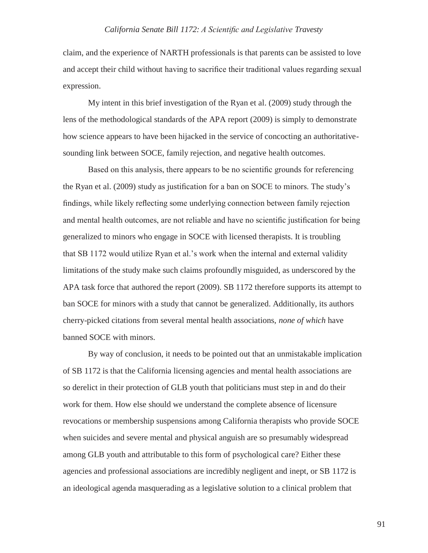claim, and the experience of NARTH professionals is that parents can be assisted to love and accept their child without having to sacrifice their traditional values regarding sexual expression.

My intent in this brief investigation of the Ryan et al. (2009) study through the lens of the methodological standards of the APA report (2009) is simply to demonstrate how science appears to have been hijacked in the service of concocting an authoritativesounding link between SOCE, family rejection, and negative health outcomes.

Based on this analysis, there appears to be no scientific grounds for referencing the Ryan et al. (2009) study as justification for a ban on SOCE to minors. The study's findings, while likely reflecting some underlying connection between family rejection and mental health outcomes, are not reliable and have no scientific justification for being generalized to minors who engage in SOCE with licensed therapists. It is troubling that SB 1172 would utilize Ryan et al.'s work when the internal and external validity limitations of the study make such claims profoundly misguided, as underscored by the APA task force that authored the report (2009). SB 1172 therefore supports its attempt to ban SOCE for minors with a study that cannot be generalized. Additionally, its authors cherry-picked citations from several mental health associations, *none of which* have banned SOCE with minors.

By way of conclusion, it needs to be pointed out that an unmistakable implication of SB 1172 is that the California licensing agencies and mental health associations are so derelict in their protection of GLB youth that politicians must step in and do their work for them. How else should we understand the complete absence of licensure revocations or membership suspensions among California therapists who provide SOCE when suicides and severe mental and physical anguish are so presumably widespread among GLB youth and attributable to this form of psychological care? Either these agencies and professional associations are incredibly negligent and inept, or SB 1172 is an ideological agenda masquerading as a legislative solution to a clinical problem that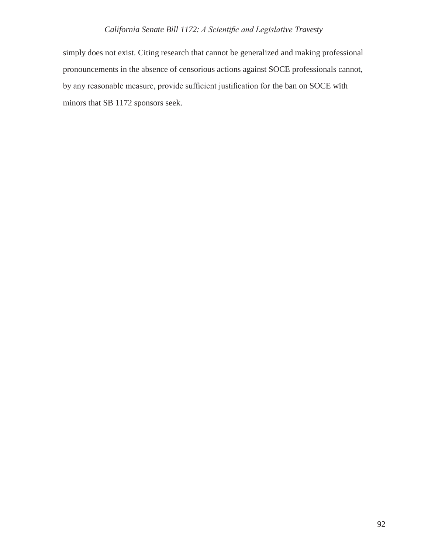simply does not exist. Citing research that cannot be generalized and making professional pronouncements in the absence of censorious actions against SOCE professionals cannot, by any reasonable measure, provide sufficient justification for the ban on SOCE with minors that SB 1172 sponsors seek.